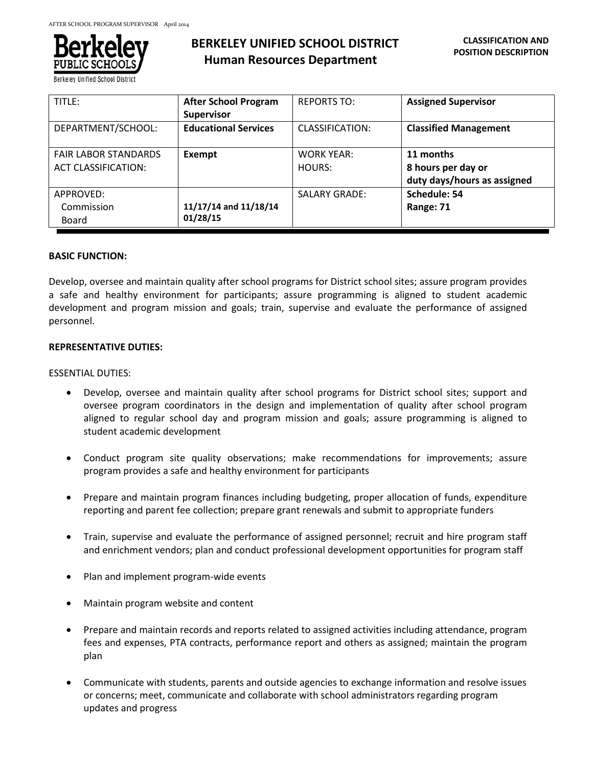

Berkeley Unified School Distric

# **BERKELEY UNIFIED SCHOOL DISTRICT Human Resources Department**

| TITLE:                      | <b>After School Program</b> | <b>REPORTS TO:</b>     | <b>Assigned Supervisor</b>   |
|-----------------------------|-----------------------------|------------------------|------------------------------|
|                             | <b>Supervisor</b>           |                        |                              |
| DEPARTMENT/SCHOOL:          | <b>Educational Services</b> | <b>CLASSIFICATION:</b> | <b>Classified Management</b> |
| <b>FAIR LABOR STANDARDS</b> | Exempt                      | <b>WORK YEAR:</b>      | 11 months                    |
| <b>ACT CLASSIFICATION:</b>  |                             | HOURS:                 | 8 hours per day or           |
|                             |                             |                        | duty days/hours as assigned  |
| APPROVED:                   |                             | <b>SALARY GRADE:</b>   | Schedule: 54                 |
| Commission                  | 11/17/14 and 11/18/14       |                        | Range: 71                    |
| Board                       | 01/28/15                    |                        |                              |

# **BASIC FUNCTION:**

Develop, oversee and maintain quality after school programs for District school sites; assure program provides a safe and healthy environment for participants; assure programming is aligned to student academic development and program mission and goals; train, supervise and evaluate the performance of assigned personnel.

# **REPRESENTATIVE DUTIES:**

# ESSENTIAL DUTIES:

- Develop, oversee and maintain quality after school programs for District school sites; support and oversee program coordinators in the design and implementation of quality after school program aligned to regular school day and program mission and goals; assure programming is aligned to student academic development
- Conduct program site quality observations; make recommendations for improvements; assure program provides a safe and healthy environment for participants
- Prepare and maintain program finances including budgeting, proper allocation of funds, expenditure reporting and parent fee collection; prepare grant renewals and submit to appropriate funders
- Train, supervise and evaluate the performance of assigned personnel; recruit and hire program staff and enrichment vendors; plan and conduct professional development opportunities for program staff
- Plan and implement program-wide events
- Maintain program website and content
- Prepare and maintain records and reports related to assigned activities including attendance, program fees and expenses, PTA contracts, performance report and others as assigned; maintain the program plan
- Communicate with students, parents and outside agencies to exchange information and resolve issues or concerns; meet, communicate and collaborate with school administrators regarding program updates and progress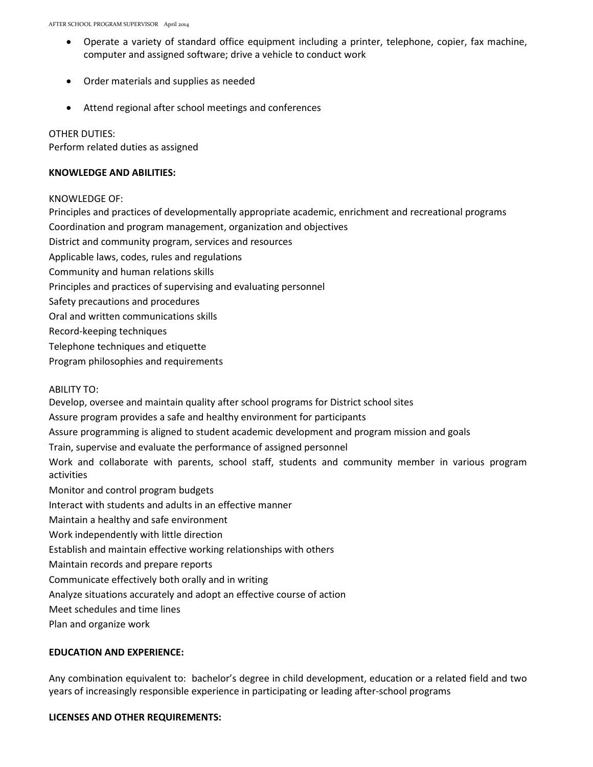- Operate a variety of standard office equipment including a printer, telephone, copier, fax machine, computer and assigned software; drive a vehicle to conduct work
- Order materials and supplies as needed
- Attend regional after school meetings and conferences

#### OTHER DUTIES:

Perform related duties as assigned

#### **KNOWLEDGE AND ABILITIES:**

# KNOWLEDGE OF:

Principles and practices of developmentally appropriate academic, enrichment and recreational programs Coordination and program management, organization and objectives District and community program, services and resources Applicable laws, codes, rules and regulations Community and human relations skills Principles and practices of supervising and evaluating personnel Safety precautions and procedures Oral and written communications skills Record-keeping techniques Telephone techniques and etiquette Program philosophies and requirements

ABILITY TO:

Develop, oversee and maintain quality after school programs for District school sites Assure program provides a safe and healthy environment for participants Assure programming is aligned to student academic development and program mission and goals Train, supervise and evaluate the performance of assigned personnel Work and collaborate with parents, school staff, students and community member in various program activities Monitor and control program budgets Interact with students and adults in an effective manner Maintain a healthy and safe environment Work independently with little direction Establish and maintain effective working relationships with others Maintain records and prepare reports Communicate effectively both orally and in writing Analyze situations accurately and adopt an effective course of action Meet schedules and time lines Plan and organize work

# **EDUCATION AND EXPERIENCE:**

Any combination equivalent to: bachelor's degree in child development, education or a related field and two years of increasingly responsible experience in participating or leading after-school programs

# **LICENSES AND OTHER REQUIREMENTS:**